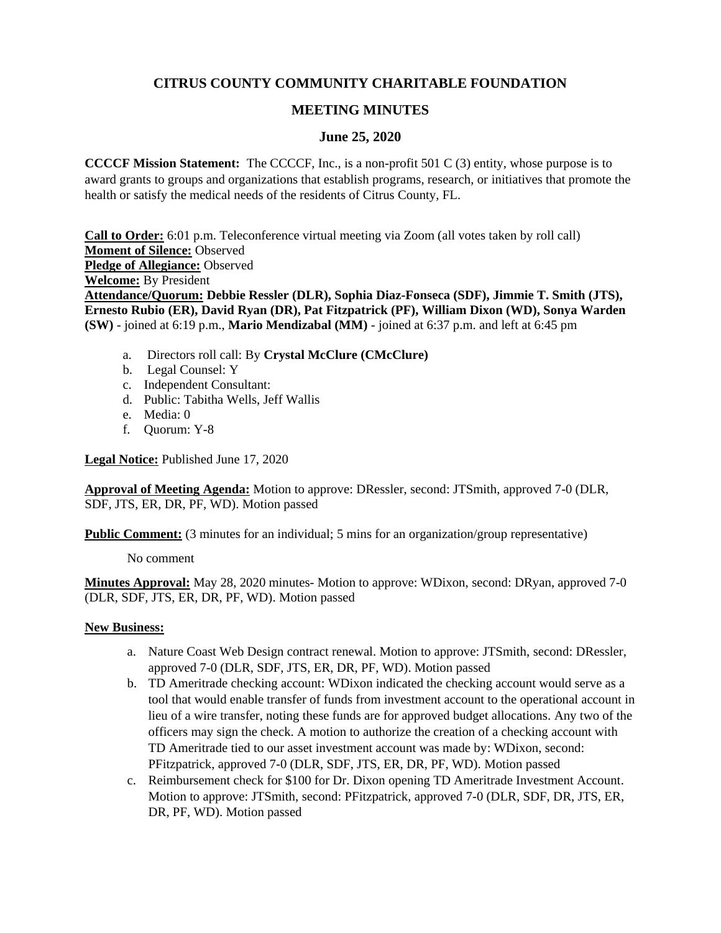# **CITRUS COUNTY COMMUNITY CHARITABLE FOUNDATION**

## **MEETING MINUTES**

## **June 25, 2020**

**CCCCF Mission Statement:** The CCCCF, Inc., is a non-profit 501 C (3) entity, whose purpose is to award grants to groups and organizations that establish programs, research, or initiatives that promote the health or satisfy the medical needs of the residents of Citrus County, FL.

**Call to Order:** 6:01 p.m. Teleconference virtual meeting via Zoom (all votes taken by roll call) **Moment of Silence:** Observed **Pledge of Allegiance:** Observed **Welcome:** By President **Attendance/Quorum: Debbie Ressler (DLR), Sophia Diaz-Fonseca (SDF), Jimmie T. Smith (JTS), Ernesto Rubio (ER), David Ryan (DR), Pat Fitzpatrick (PF), William Dixon (WD), Sonya Warden (SW)** - joined at 6:19 p.m., **Mario Mendizabal (MM)** - joined at 6:37 p.m. and left at 6:45 pm

- a. Directors roll call: By **Crystal McClure (CMcClure)**
- b. Legal Counsel: Y
- c. Independent Consultant:
- d. Public: Tabitha Wells, Jeff Wallis
- e. Media: 0
- f. Quorum: Y-8

**Legal Notice:** Published June 17, 2020

**Approval of Meeting Agenda:** Motion to approve: DRessler, second: JTSmith, approved 7-0 (DLR, SDF, JTS, ER, DR, PF, WD). Motion passed

**Public Comment:** (3 minutes for an individual; 5 mins for an organization/group representative)

No comment

**Minutes Approval:** May 28, 2020 minutes- Motion to approve: WDixon, second: DRyan, approved 7-0 (DLR, SDF, JTS, ER, DR, PF, WD). Motion passed

## **New Business:**

- a. Nature Coast Web Design contract renewal. Motion to approve: JTSmith, second: DRessler, approved 7-0 (DLR, SDF, JTS, ER, DR, PF, WD). Motion passed
- b. TD Ameritrade checking account: WDixon indicated the checking account would serve as a tool that would enable transfer of funds from investment account to the operational account in lieu of a wire transfer, noting these funds are for approved budget allocations. Any two of the officers may sign the check. A motion to authorize the creation of a checking account with TD Ameritrade tied to our asset investment account was made by: WDixon, second: PFitzpatrick, approved 7-0 (DLR, SDF, JTS, ER, DR, PF, WD). Motion passed
- c. Reimbursement check for \$100 for Dr. Dixon opening TD Ameritrade Investment Account. Motion to approve: JTSmith, second: PFitzpatrick, approved 7-0 (DLR, SDF, DR, JTS, ER, DR, PF, WD). Motion passed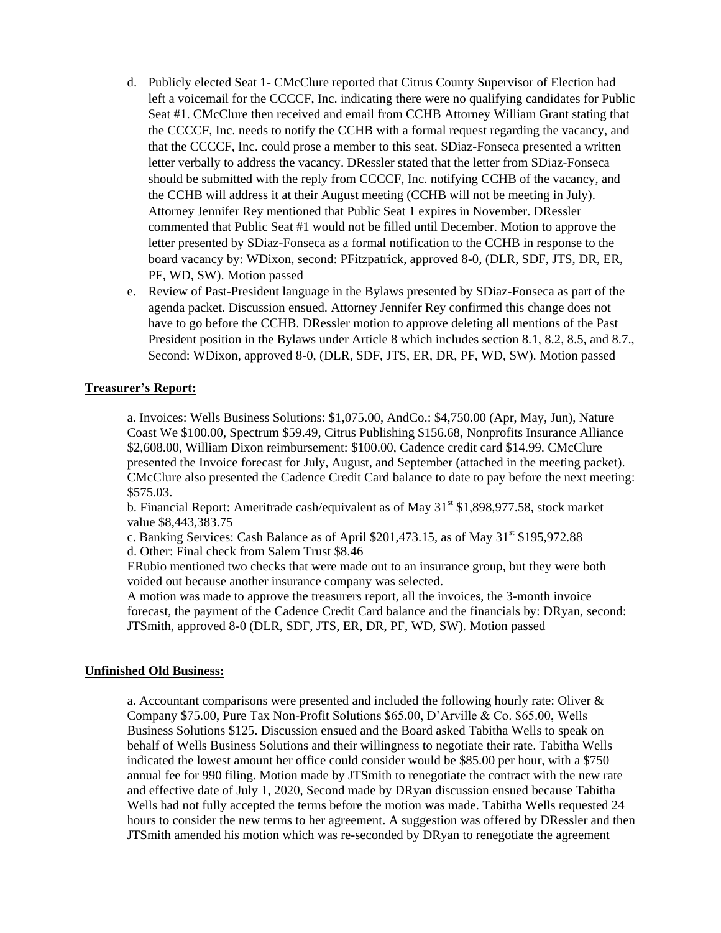- d. Publicly elected Seat 1- CMcClure reported that Citrus County Supervisor of Election had left a voicemail for the CCCCF, Inc. indicating there were no qualifying candidates for Public Seat #1. CMcClure then received and email from CCHB Attorney William Grant stating that the CCCCF, Inc. needs to notify the CCHB with a formal request regarding the vacancy, and that the CCCCF, Inc. could prose a member to this seat. SDiaz-Fonseca presented a written letter verbally to address the vacancy. DRessler stated that the letter from SDiaz-Fonseca should be submitted with the reply from CCCCF, Inc. notifying CCHB of the vacancy, and the CCHB will address it at their August meeting (CCHB will not be meeting in July). Attorney Jennifer Rey mentioned that Public Seat 1 expires in November. DRessler commented that Public Seat #1 would not be filled until December. Motion to approve the letter presented by SDiaz-Fonseca as a formal notification to the CCHB in response to the board vacancy by: WDixon, second: PFitzpatrick, approved 8-0, (DLR, SDF, JTS, DR, ER, PF, WD, SW). Motion passed
- e. Review of Past-President language in the Bylaws presented by SDiaz-Fonseca as part of the agenda packet. Discussion ensued. Attorney Jennifer Rey confirmed this change does not have to go before the CCHB. DRessler motion to approve deleting all mentions of the Past President position in the Bylaws under Article 8 which includes section 8.1, 8.2, 8.5, and 8.7., Second: WDixon, approved 8-0, (DLR, SDF, JTS, ER, DR, PF, WD, SW). Motion passed

## **Treasurer's Report:**

a. Invoices: Wells Business Solutions: \$1,075.00, AndCo.: \$4,750.00 (Apr, May, Jun), Nature Coast We \$100.00, Spectrum \$59.49, Citrus Publishing \$156.68, Nonprofits Insurance Alliance \$2,608.00, William Dixon reimbursement: \$100.00, Cadence credit card \$14.99. CMcClure presented the Invoice forecast for July, August, and September (attached in the meeting packet). CMcClure also presented the Cadence Credit Card balance to date to pay before the next meeting: \$575.03.

b. Financial Report: Ameritrade cash/equivalent as of May  $31<sup>st</sup>$  \$1,898,977.58, stock market value \$8,443,383.75

c. Banking Services: Cash Balance as of April  $$201,473.15$ , as of May  $31<sup>st</sup>$  \$195,972.88 d. Other: Final check from Salem Trust \$8.46

ERubio mentioned two checks that were made out to an insurance group, but they were both voided out because another insurance company was selected.

A motion was made to approve the treasurers report, all the invoices, the 3-month invoice forecast, the payment of the Cadence Credit Card balance and the financials by: DRyan, second: JTSmith, approved 8-0 (DLR, SDF, JTS, ER, DR, PF, WD, SW). Motion passed

#### **Unfinished Old Business:**

a. Accountant comparisons were presented and included the following hourly rate: Oliver  $\&$ Company \$75.00, Pure Tax Non-Profit Solutions \$65.00, D'Arville & Co. \$65.00, Wells Business Solutions \$125. Discussion ensued and the Board asked Tabitha Wells to speak on behalf of Wells Business Solutions and their willingness to negotiate their rate. Tabitha Wells indicated the lowest amount her office could consider would be \$85.00 per hour, with a \$750 annual fee for 990 filing. Motion made by JTSmith to renegotiate the contract with the new rate and effective date of July 1, 2020, Second made by DRyan discussion ensued because Tabitha Wells had not fully accepted the terms before the motion was made. Tabitha Wells requested 24 hours to consider the new terms to her agreement. A suggestion was offered by DRessler and then JTSmith amended his motion which was re-seconded by DRyan to renegotiate the agreement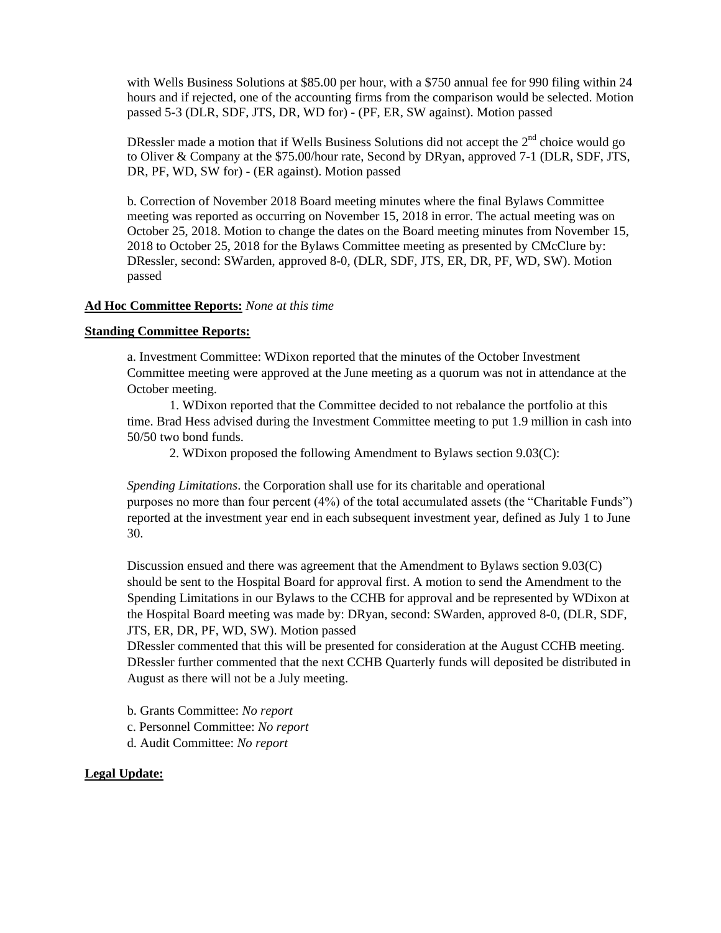with Wells Business Solutions at \$85.00 per hour, with a \$750 annual fee for 990 filing within 24 hours and if rejected, one of the accounting firms from the comparison would be selected. Motion passed 5-3 (DLR, SDF, JTS, DR, WD for) - (PF, ER, SW against). Motion passed

DRessler made a motion that if Wells Business Solutions did not accept the  $2<sup>nd</sup>$  choice would go to Oliver & Company at the \$75.00/hour rate, Second by DRyan, approved 7-1 (DLR, SDF, JTS, DR, PF, WD, SW for) - (ER against). Motion passed

b. Correction of November 2018 Board meeting minutes where the final Bylaws Committee meeting was reported as occurring on November 15, 2018 in error. The actual meeting was on October 25, 2018. Motion to change the dates on the Board meeting minutes from November 15, 2018 to October 25, 2018 for the Bylaws Committee meeting as presented by CMcClure by: DRessler, second: SWarden, approved 8-0, (DLR, SDF, JTS, ER, DR, PF, WD, SW). Motion passed

#### **Ad Hoc Committee Reports:** *None at this time*

#### **Standing Committee Reports:**

a. Investment Committee: WDixon reported that the minutes of the October Investment Committee meeting were approved at the June meeting as a quorum was not in attendance at the October meeting.

1. WDixon reported that the Committee decided to not rebalance the portfolio at this time. Brad Hess advised during the Investment Committee meeting to put 1.9 million in cash into 50/50 two bond funds.

2. WDixon proposed the following Amendment to Bylaws section 9.03(C):

*Spending Limitations*. the Corporation shall use for its charitable and operational purposes no more than four percent (4%) of the total accumulated assets (the "Charitable Funds") reported at the investment year end in each subsequent investment year, defined as July 1 to June 30.

Discussion ensued and there was agreement that the Amendment to Bylaws section 9.03(C) should be sent to the Hospital Board for approval first. A motion to send the Amendment to the Spending Limitations in our Bylaws to the CCHB for approval and be represented by WDixon at the Hospital Board meeting was made by: DRyan, second: SWarden, approved 8-0, (DLR, SDF, JTS, ER, DR, PF, WD, SW). Motion passed

DRessler commented that this will be presented for consideration at the August CCHB meeting. DRessler further commented that the next CCHB Quarterly funds will deposited be distributed in August as there will not be a July meeting.

b. Grants Committee: *No report*

- c. Personnel Committee: *No report*
- d. Audit Committee: *No report*

## **Legal Update:**